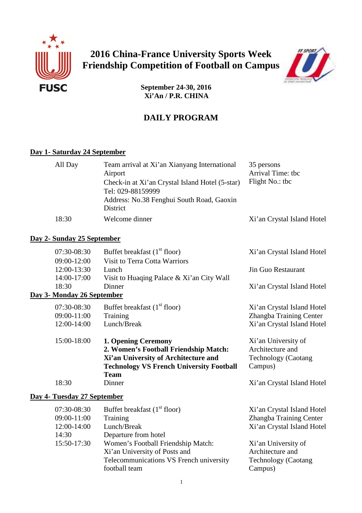

# **2016 China-France University Sports Week Friendship Competition of Football on Campus**



**September 24-30, 2016 Xi'An / P.R. CHINA** 

# **DAILY PROGRAM**

### **Day 1- Saturday 24 September**

| All Day | Team arrival at Xi'an Xianyang International    | 35 persons                 |
|---------|-------------------------------------------------|----------------------------|
|         | Airport                                         | Arrival Time: tbc          |
|         | Check-in at Xi'an Crystal Island Hotel (5-star) | Flight No.: tbc            |
|         | Tel: 029-88159999                               |                            |
|         | Address: No.38 Fenghui South Road, Gaoxin       |                            |
|         | District                                        |                            |
| 18:30   | Welcome dinner                                  | Xi'an Crystal Island Hotel |

## **Day 2- Sunday 25 September**

| Day 2. Manday 26 Santambar |               |                                           |                            |
|----------------------------|---------------|-------------------------------------------|----------------------------|
|                            | 18:30         | Dinner                                    | Xi'an Crystal Island Hotel |
|                            | 14:00-17:00   | Visit to Huaqing Palace & Xi'an City Wall |                            |
|                            | $12:00-13:30$ | Lunch.                                    | Jin Guo Restaurant         |
|                            | 09:00-12:00   | Visit to Terra Cotta Warriors             |                            |
|                            | 07:30-08:30   | Buffet breakfast $(1st$ floor)            | Xi'an Crystal Island Hotel |

#### **Day 3- Monday 26 September**

| 07:30-08:30 | Buffet breakfast $(1st$ floor) | Xi'an Crystal Island Hotel |
|-------------|--------------------------------|----------------------------|
| 09:00-11:00 | Training                       | Zhangba Training Center    |
| 12:00-14:00 | Lunch/Break                    | Xi'an Crystal Island Hotel |

| 15:00-18:00 | <b>1. Opening Ceremony</b>                      | Xi'an University of        |
|-------------|-------------------------------------------------|----------------------------|
|             | 2. Women's Football Friendship Match:           | Architecture and           |
|             | Xi'an University of Architecture and            | <b>Technology</b> (Caotang |
|             | <b>Technology VS French University Football</b> | Campus)                    |
|             | <b>Team</b>                                     |                            |
| 18:30       | Dinner                                          | Xi'an Crystal Island Hotel |

#### **Day 4- Tuesday 27 September**

| 07:30-08:30 | Buffet breakfast $(1st$ floor)          | Xi'an Crystal Island Hotel |
|-------------|-----------------------------------------|----------------------------|
| 09:00-11:00 | <b>Training</b>                         | Zhangba Training Center    |
| 12:00-14:00 | Lunch/Break                             | Xi'an Crystal Island Hotel |
| 14:30       | Departure from hotel                    |                            |
| 15:50-17:30 | Women's Football Friendship Match:      | Xi'an University of        |
|             | Xi'an University of Posts and           | Architecture and           |
|             | Telecommunications VS French university | <b>Technology</b> (Caotang |
|             | football team                           | Campus)                    |
|             |                                         |                            |